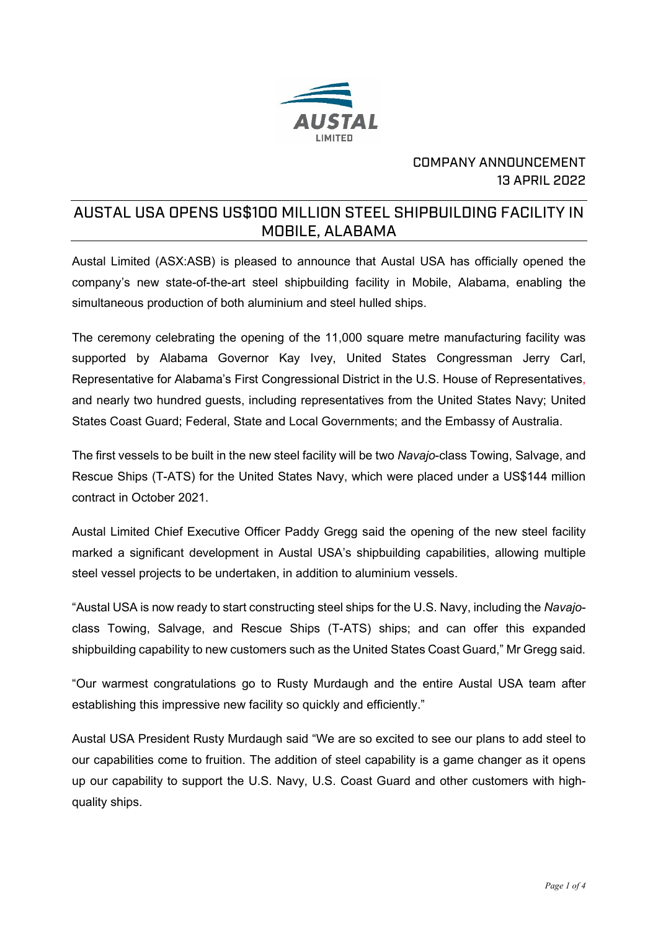

## COMPANY ANNOUNCEMENT 13 APRIL 2022

# AUSTAL USA OPENS US\$100 MILLION STEEL SHIPBUILDING FACILITY IN MOBILE, ALABAMA

Austal Limited (ASX:ASB) is pleased to announce that Austal USA has officially opened the company's new state-of-the-art steel shipbuilding facility in Mobile, Alabama, enabling the simultaneous production of both aluminium and steel hulled ships.

The ceremony celebrating the opening of the 11,000 square metre manufacturing facility was supported by Alabama Governor Kay Ivey, United States Congressman Jerry Carl, Representative for Alabama's First Congressional District in the U.S. House of Representatives, and nearly two hundred guests, including representatives from the United States Navy; United States Coast Guard; Federal, State and Local Governments; and the Embassy of Australia.

The first vessels to be built in the new steel facility will be two *Navajo*-class Towing, Salvage, and Rescue Ships (T-ATS) for the United States Navy, which were placed under a US\$144 million contract in October 2021.

Austal Limited Chief Executive Officer Paddy Gregg said the opening of the new steel facility marked a significant development in Austal USA's shipbuilding capabilities, allowing multiple steel vessel projects to be undertaken, in addition to aluminium vessels.

"Austal USA is now ready to start constructing steel ships for the U.S. Navy, including the *Navajo*class Towing, Salvage, and Rescue Ships (T-ATS) ships; and can offer this expanded shipbuilding capability to new customers such as the United States Coast Guard," Mr Gregg said.

"Our warmest congratulations go to Rusty Murdaugh and the entire Austal USA team after establishing this impressive new facility so quickly and efficiently."

Austal USA President Rusty Murdaugh said "We are so excited to see our plans to add steel to our capabilities come to fruition. The addition of steel capability is a game changer as it opens up our capability to support the U.S. Navy, U.S. Coast Guard and other customers with highquality ships.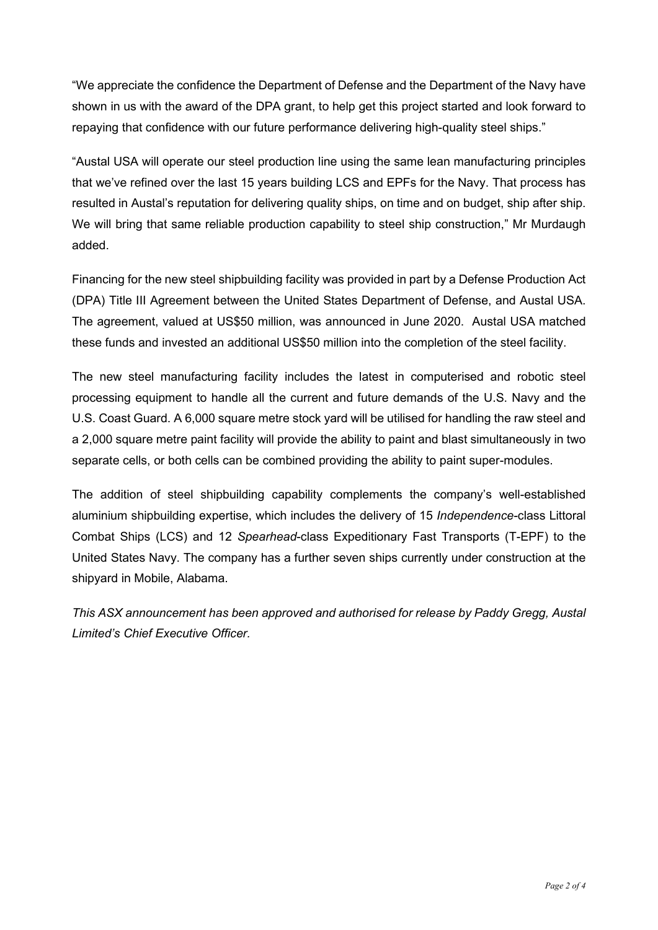"We appreciate the confidence the Department of Defense and the Department of the Navy have shown in us with the award of the DPA grant, to help get this project started and look forward to repaying that confidence with our future performance delivering high-quality steel ships."

"Austal USA will operate our steel production line using the same lean manufacturing principles that we've refined over the last 15 years building LCS and EPFs for the Navy. That process has resulted in Austal's reputation for delivering quality ships, on time and on budget, ship after ship. We will bring that same reliable production capability to steel ship construction," Mr Murdaugh added.

Financing for the new steel shipbuilding facility was provided in part by a Defense Production Act (DPA) Title III Agreement between the United States Department of Defense, and Austal USA. The agreement, valued at US\$50 million, was announced in June 2020. Austal USA matched these funds and invested an additional US\$50 million into the completion of the steel facility.

The new steel manufacturing facility includes the latest in computerised and robotic steel processing equipment to handle all the current and future demands of the U.S. Navy and the U.S. Coast Guard. A 6,000 square metre stock yard will be utilised for handling the raw steel and a 2,000 square metre paint facility will provide the ability to paint and blast simultaneously in two separate cells, or both cells can be combined providing the ability to paint super-modules.

The addition of steel shipbuilding capability complements the company's well-established aluminium shipbuilding expertise, which includes the delivery of 15 *Independence-*class Littoral Combat Ships (LCS) and 12 *Spearhead*-class Expeditionary Fast Transports (T-EPF) to the United States Navy. The company has a further seven ships currently under construction at the shipyard in Mobile, Alabama.

*This ASX announcement has been approved and authorised for release by Paddy Gregg, Austal Limited's Chief Executive Officer.*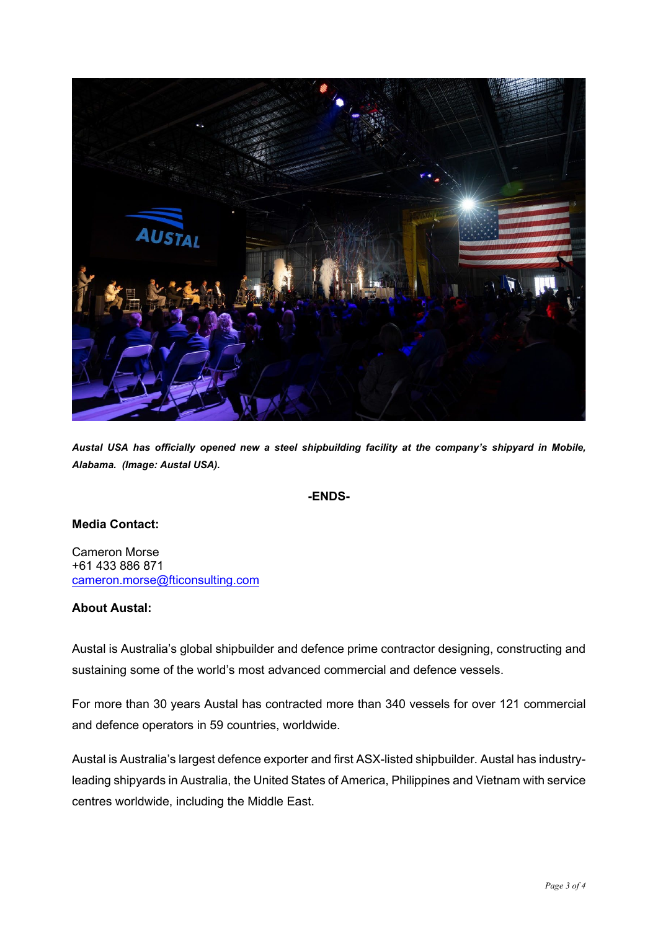

*Austal USA has officially opened new a steel shipbuilding facility at the company's shipyard in Mobile, Alabama. (Image: Austal USA).*

### **-ENDS-**

### **Media Contact:**

Cameron Morse +61 433 886 871 [cameron.morse@fticonsulting.com](mailto:cameron.morse@fticonsulting.com)

### **About Austal:**

Austal is Australia's global shipbuilder and defence prime contractor designing, constructing and sustaining some of the world's most advanced commercial and defence vessels.

For more than 30 years Austal has contracted more than 340 vessels for over 121 commercial and defence operators in 59 countries, worldwide.

Austal is Australia's largest defence exporter and first ASX-listed shipbuilder. Austal has industryleading shipyards in Australia, the United States of America, Philippines and Vietnam with service centres worldwide, including the Middle East.